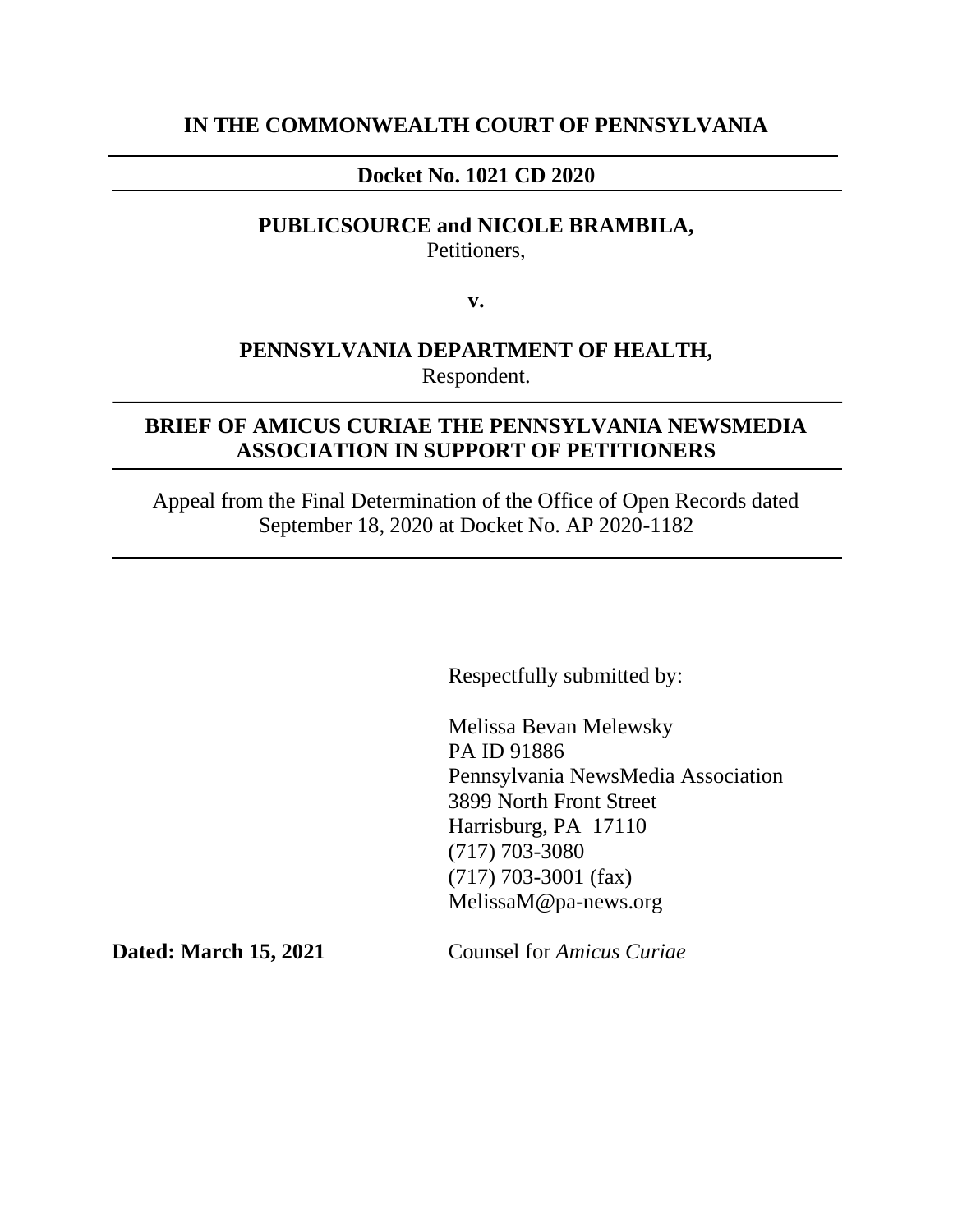### **IN THE COMMONWEALTH COURT OF PENNSYLVANIA**

### **Docket No. 1021 CD 2020**

### **PUBLICSOURCE and NICOLE BRAMBILA,** Petitioners,

**v.**

### **PENNSYLVANIA DEPARTMENT OF HEALTH,** Respondent.

### **BRIEF OF AMICUS CURIAE THE PENNSYLVANIA NEWSMEDIA ASSOCIATION IN SUPPORT OF PETITIONERS**

Appeal from the Final Determination of the Office of Open Records dated September 18, 2020 at Docket No. AP 2020-1182

Respectfully submitted by:

Melissa Bevan Melewsky PA ID 91886 Pennsylvania NewsMedia Association 3899 North Front Street Harrisburg, PA 17110 (717) 703-3080 (717) 703-3001 (fax) MelissaM@pa-news.org

**Dated: March 15, 2021** Counsel for *Amicus Curiae*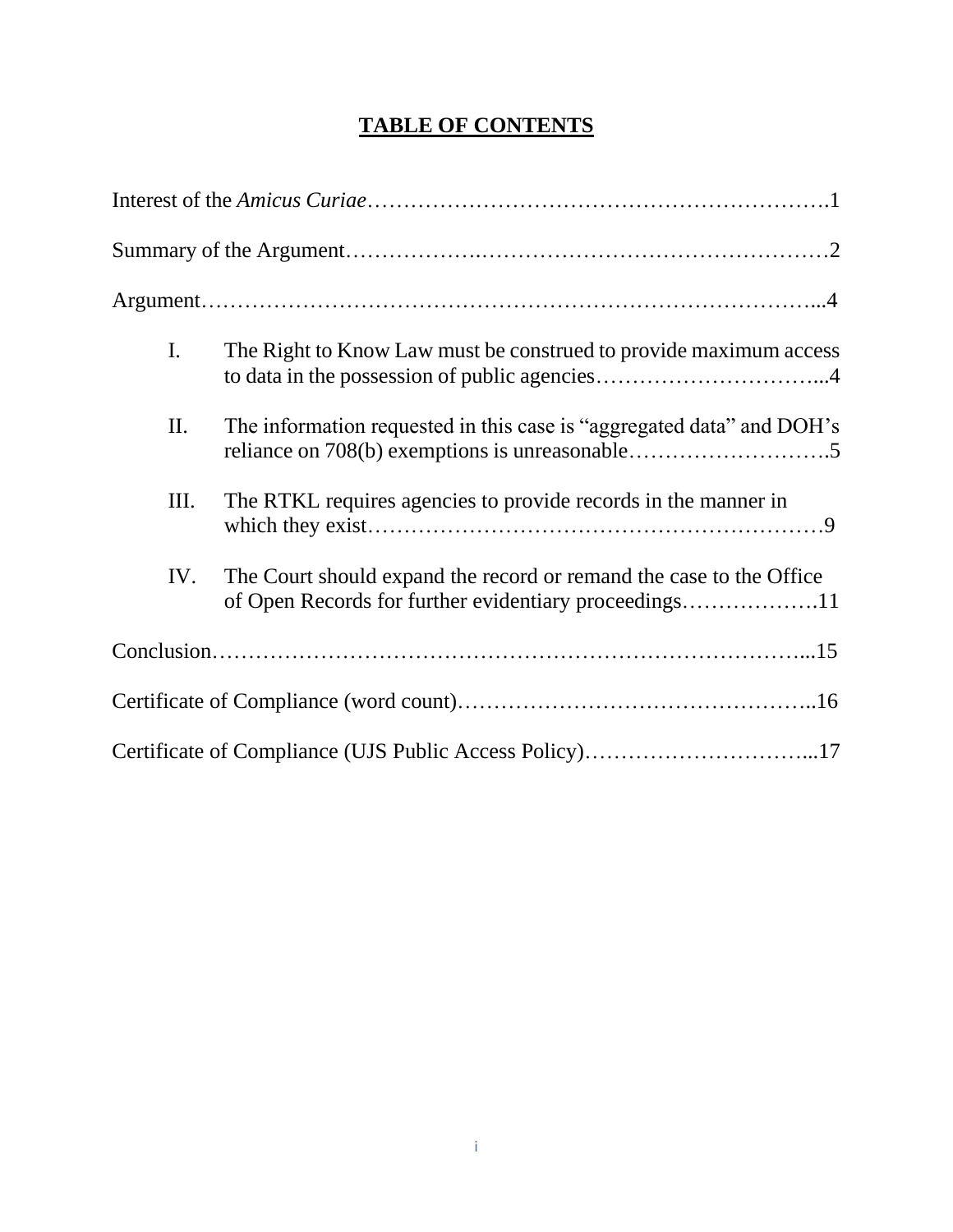# **TABLE OF CONTENTS**

| $\mathbf{I}$ . | The Right to Know Law must be construed to provide maximum access                                                            |
|----------------|------------------------------------------------------------------------------------------------------------------------------|
| II.            | The information requested in this case is "aggregated data" and DOH's                                                        |
| III.           | The RTKL requires agencies to provide records in the manner in                                                               |
| IV.            | The Court should expand the record or remand the case to the Office<br>of Open Records for further evidentiary proceedings11 |
|                |                                                                                                                              |
|                |                                                                                                                              |
|                | Certificate of Compliance (UJS Public Access Policy)17                                                                       |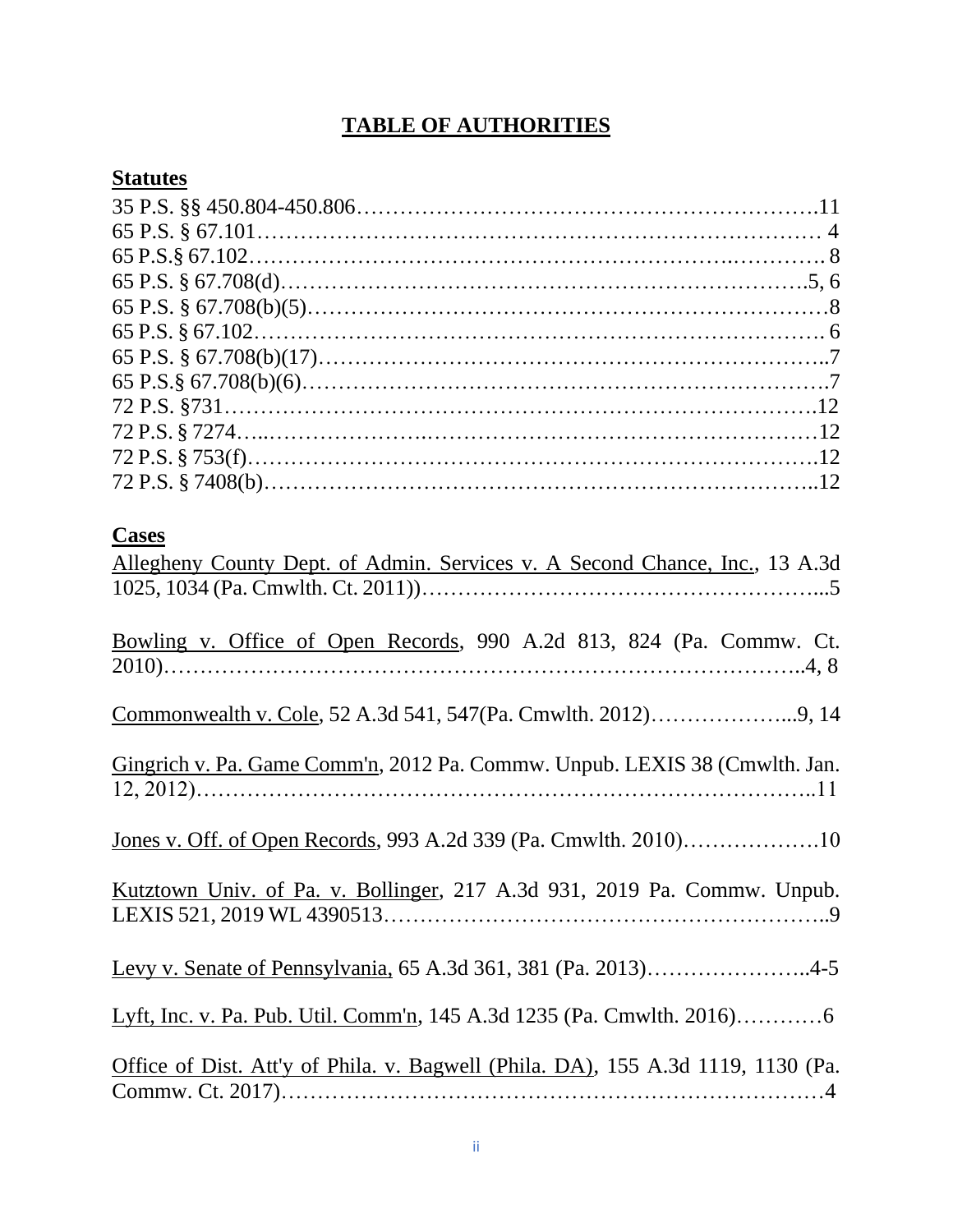# **TABLE OF AUTHORITIES**

## **Statutes**

| <b>Cases</b>                                                                     |
|----------------------------------------------------------------------------------|
| Allegheny County Dept. of Admin. Services v. A Second Chance, Inc., 13 A.3d      |
|                                                                                  |
|                                                                                  |
| Bowling v. Office of Open Records, 990 A.2d 813, 824 (Pa. Commw. Ct.             |
|                                                                                  |
|                                                                                  |
|                                                                                  |
|                                                                                  |
| Gingrich v. Pa. Game Comm'n, 2012 Pa. Commw. Unpub. LEXIS 38 (Cmwlth. Jan.       |
|                                                                                  |
|                                                                                  |
|                                                                                  |
|                                                                                  |
| Kutztown Univ. of Pa. v. Bollinger, 217 A.3d 931, 2019 Pa. Commw. Unpub.         |
|                                                                                  |
|                                                                                  |
| Levy v. Senate of Pennsylvania, 65 A.3d 361, 381 (Pa. 2013)4-5                   |
|                                                                                  |
|                                                                                  |
|                                                                                  |
| Office of Dist. Att'y of Phila. v. Bagwell (Phila. DA), 155 A.3d 1119, 1130 (Pa. |
|                                                                                  |
|                                                                                  |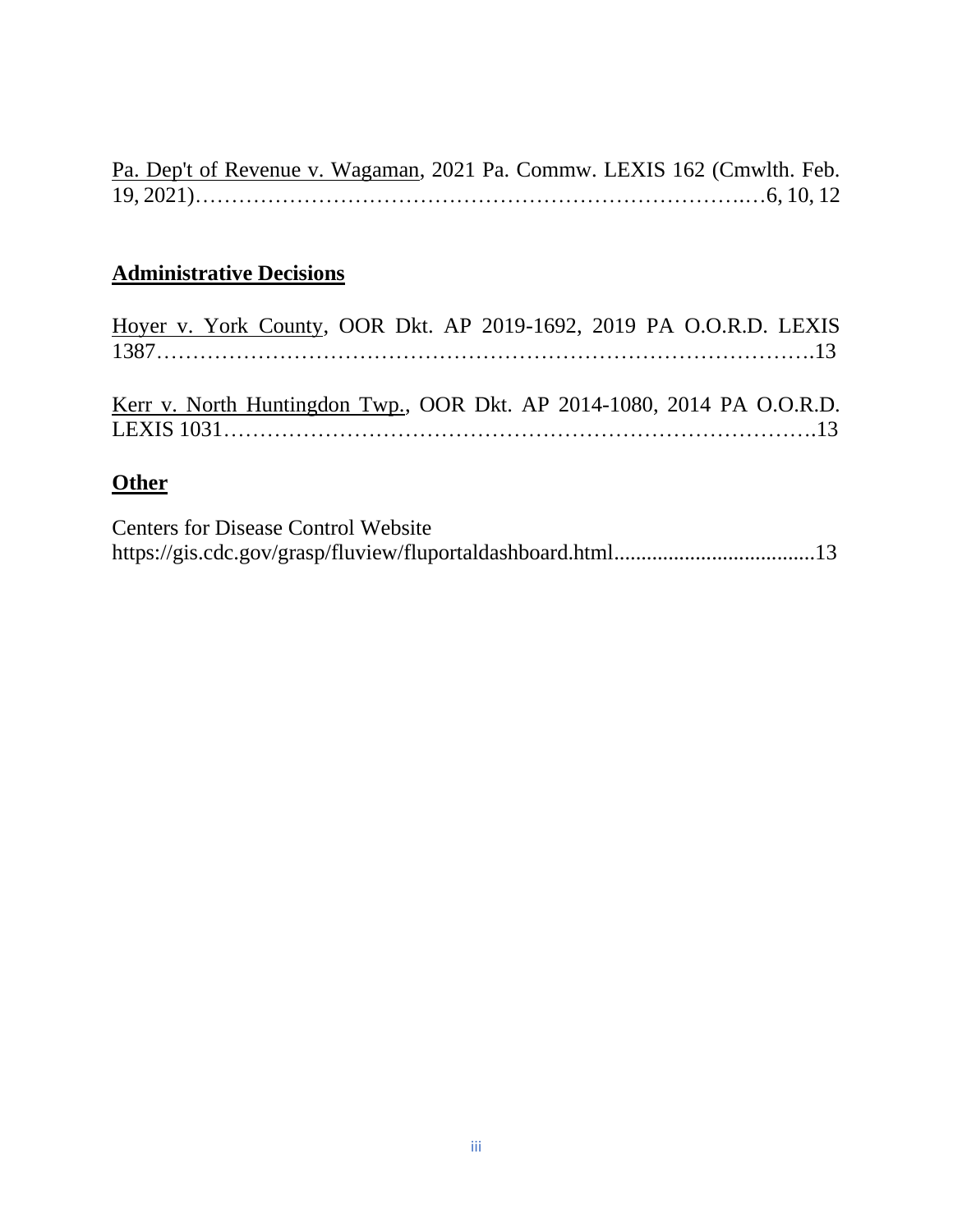| Pa. Dep't of Revenue v. Wagaman, 2021 Pa. Commw. LEXIS 162 (Cmwlth. Feb. |  |  |  |
|--------------------------------------------------------------------------|--|--|--|
|                                                                          |  |  |  |

# **Administrative Decisions**

| Hoyer v. York County, OOR Dkt. AP 2019-1692, 2019 PA O.O.R.D. LEXIS |  |  |  |  |  |  |
|---------------------------------------------------------------------|--|--|--|--|--|--|
|                                                                     |  |  |  |  |  |  |
|                                                                     |  |  |  |  |  |  |

|  | Kerr v. North Huntingdon Twp., OOR Dkt. AP 2014-1080, 2014 PA O.O.R.D. |  |  |  |  |
|--|------------------------------------------------------------------------|--|--|--|--|
|  |                                                                        |  |  |  |  |

## **Other**

Centers for Disease Control Website https://gis.cdc.gov/grasp/fluview/fluportaldashboard.html.....................................13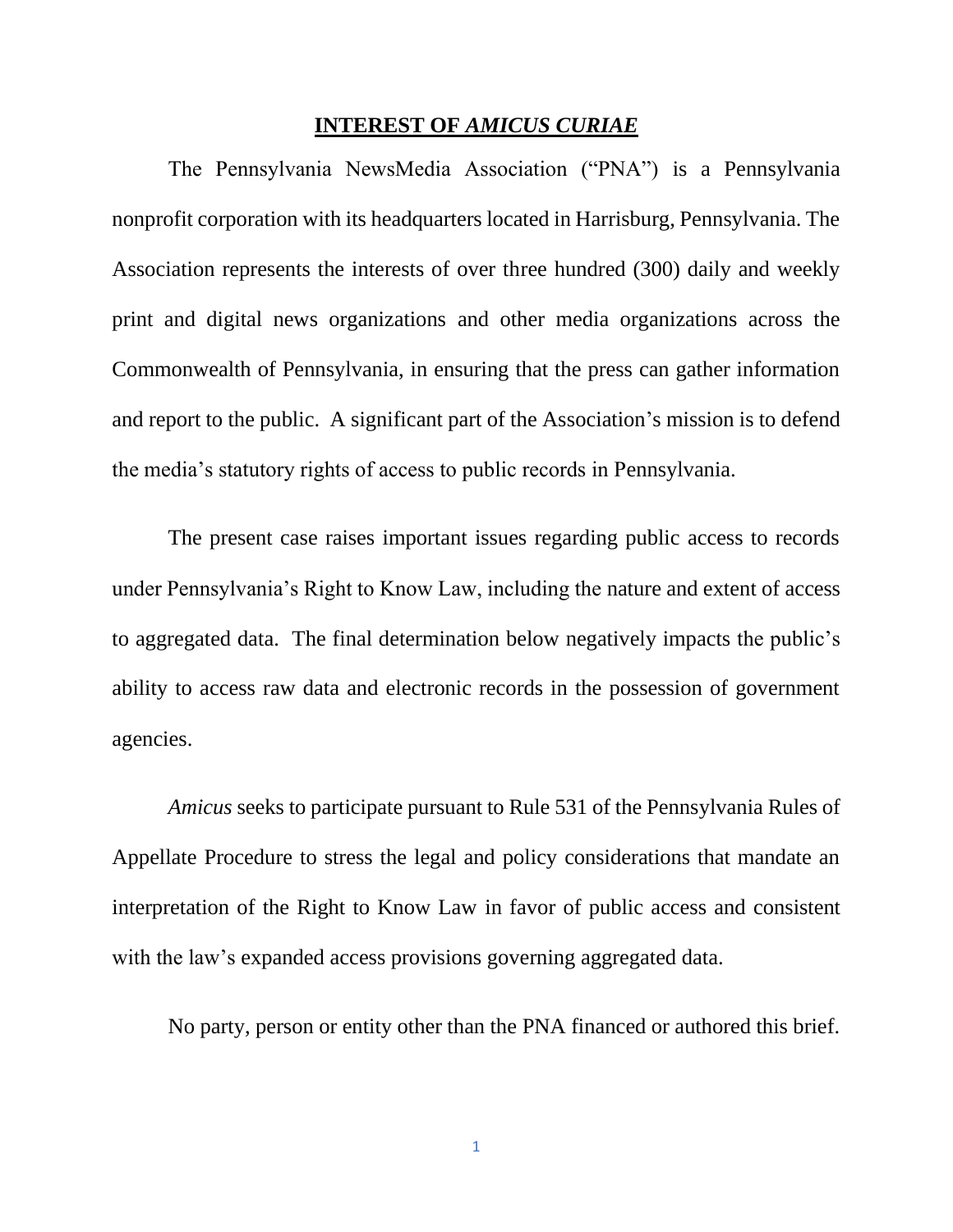#### **INTEREST OF** *AMICUS CURIAE*

The Pennsylvania NewsMedia Association ("PNA") is a Pennsylvania nonprofit corporation with its headquarters located in Harrisburg, Pennsylvania. The Association represents the interests of over three hundred (300) daily and weekly print and digital news organizations and other media organizations across the Commonwealth of Pennsylvania, in ensuring that the press can gather information and report to the public. A significant part of the Association's mission is to defend the media's statutory rights of access to public records in Pennsylvania.

The present case raises important issues regarding public access to records under Pennsylvania's Right to Know Law, including the nature and extent of access to aggregated data. The final determination below negatively impacts the public's ability to access raw data and electronic records in the possession of government agencies.

*Amicus* seeks to participate pursuant to Rule 531 of the Pennsylvania Rules of Appellate Procedure to stress the legal and policy considerations that mandate an interpretation of the Right to Know Law in favor of public access and consistent with the law's expanded access provisions governing aggregated data.

No party, person or entity other than the PNA financed or authored this brief.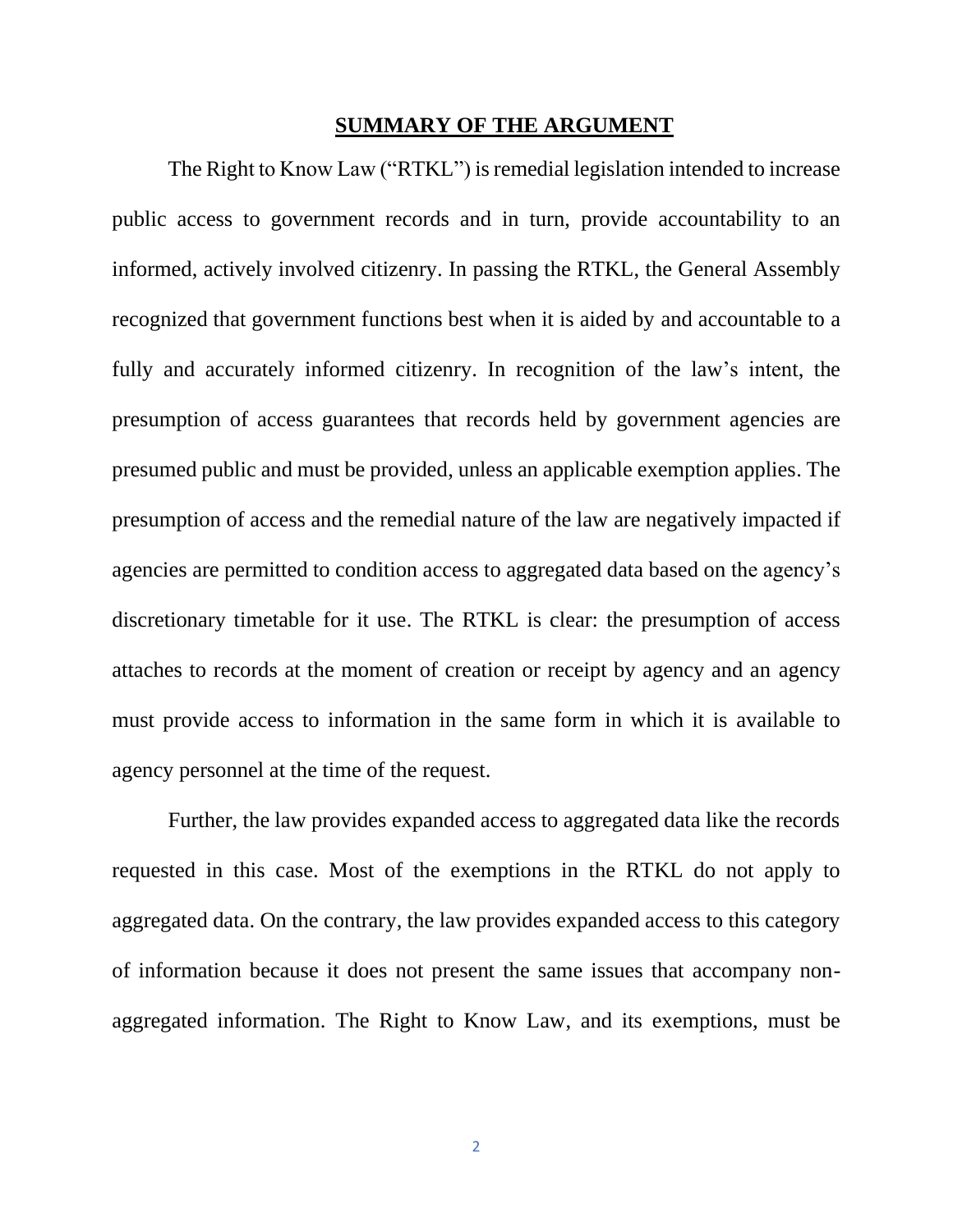#### **SUMMARY OF THE ARGUMENT**

The Right to Know Law ("RTKL") is remedial legislation intended to increase public access to government records and in turn, provide accountability to an informed, actively involved citizenry. In passing the RTKL, the General Assembly recognized that government functions best when it is aided by and accountable to a fully and accurately informed citizenry. In recognition of the law's intent, the presumption of access guarantees that records held by government agencies are presumed public and must be provided, unless an applicable exemption applies. The presumption of access and the remedial nature of the law are negatively impacted if agencies are permitted to condition access to aggregated data based on the agency's discretionary timetable for it use. The RTKL is clear: the presumption of access attaches to records at the moment of creation or receipt by agency and an agency must provide access to information in the same form in which it is available to agency personnel at the time of the request.

Further, the law provides expanded access to aggregated data like the records requested in this case. Most of the exemptions in the RTKL do not apply to aggregated data. On the contrary, the law provides expanded access to this category of information because it does not present the same issues that accompany nonaggregated information. The Right to Know Law, and its exemptions, must be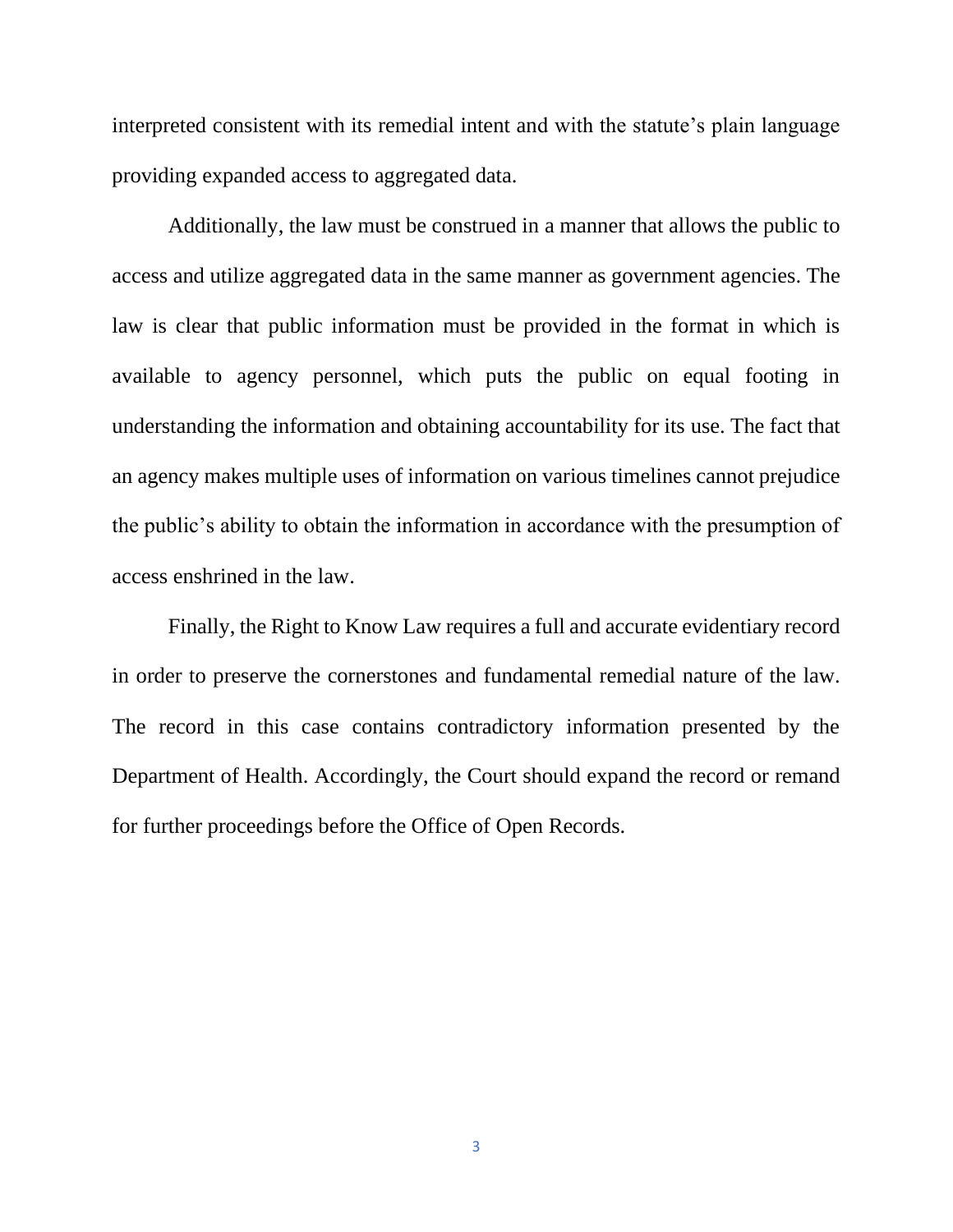interpreted consistent with its remedial intent and with the statute's plain language providing expanded access to aggregated data.

Additionally, the law must be construed in a manner that allows the public to access and utilize aggregated data in the same manner as government agencies. The law is clear that public information must be provided in the format in which is available to agency personnel, which puts the public on equal footing in understanding the information and obtaining accountability for its use. The fact that an agency makes multiple uses of information on various timelines cannot prejudice the public's ability to obtain the information in accordance with the presumption of access enshrined in the law.

Finally, the Right to Know Law requires a full and accurate evidentiary record in order to preserve the cornerstones and fundamental remedial nature of the law. The record in this case contains contradictory information presented by the Department of Health. Accordingly, the Court should expand the record or remand for further proceedings before the Office of Open Records.

3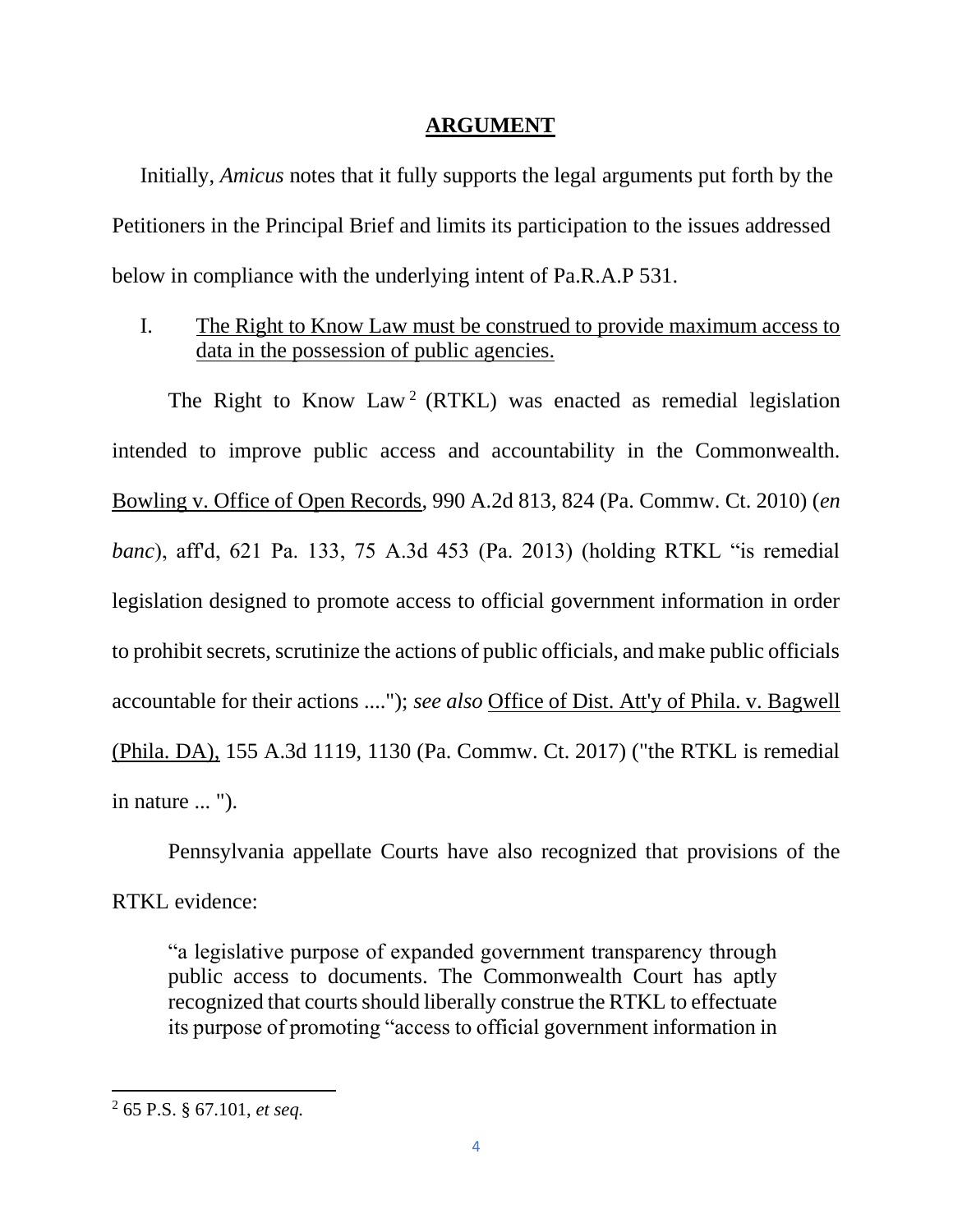### **ARGUMENT**

Initially, *Amicus* notes that it fully supports the legal arguments put forth by the Petitioners in the Principal Brief and limits its participation to the issues addressed below in compliance with the underlying intent of Pa.R.A.P 531.

I. The Right to Know Law must be construed to provide maximum access to data in the possession of public agencies.

The Right to Know Law<sup>2</sup> (RTKL) was enacted as remedial legislation intended to improve public access and accountability in the Commonwealth. Bowling v. Office of Open Records, 990 A.2d 813, 824 (Pa. Commw. Ct. 2010) (*en banc*), aff'd, 621 Pa. 133, 75 A.3d 453 (Pa. 2013) (holding RTKL "is remedial legislation designed to promote access to official government information in order to prohibit secrets, scrutinize the actions of public officials, and make public officials accountable for their actions ...."); *see also* Office of Dist. Att'y of Phila. v. Bagwell (Phila. DA), 155 A.3d 1119, 1130 (Pa. Commw. Ct. 2017) ("the RTKL is remedial in nature ... ").

Pennsylvania appellate Courts have also recognized that provisions of the RTKL evidence:

"a legislative purpose of expanded government transparency through public access to documents. The Commonwealth Court has aptly recognized that courts should liberally construe the RTKL to effectuate its purpose of promoting "access to official government information in

<sup>2</sup> 65 P.S. § 67.101, *et seq.*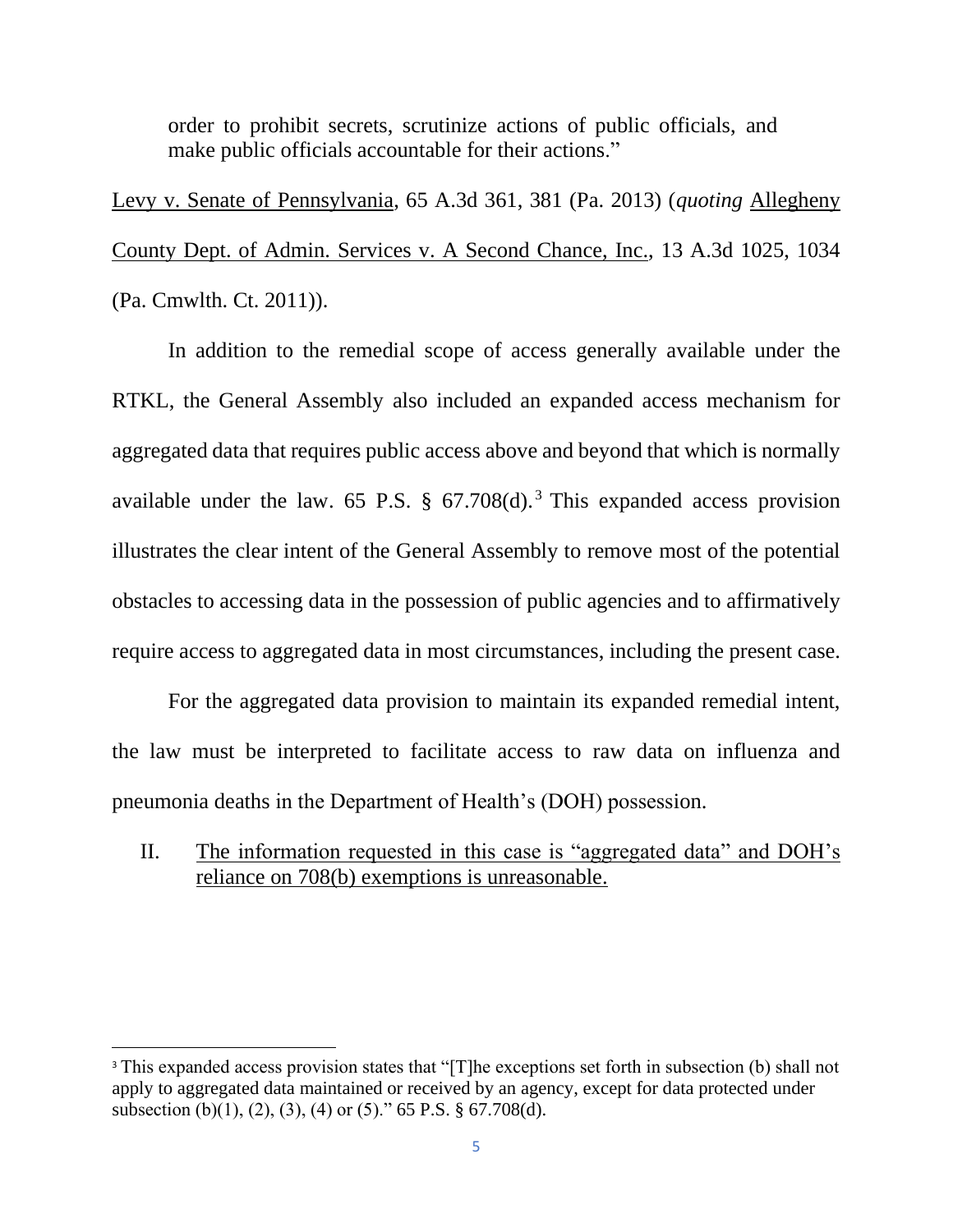order to prohibit secrets, scrutinize actions of public officials, and make public officials accountable for their actions."

Levy v. Senate of Pennsylvania, 65 A.3d 361, 381 (Pa. 2013) (*quoting* Allegheny County Dept. of Admin. Services v. A Second Chance, Inc., 13 A.3d 1025, 1034 (Pa. Cmwlth. Ct. 2011)).

In addition to the remedial scope of access generally available under the RTKL, the General Assembly also included an expanded access mechanism for aggregated data that requires public access above and beyond that which is normally available under the law. 65 P.S.  $\S$  67.708(d).<sup>3</sup> This expanded access provision illustrates the clear intent of the General Assembly to remove most of the potential obstacles to accessing data in the possession of public agencies and to affirmatively require access to aggregated data in most circumstances, including the present case.

For the aggregated data provision to maintain its expanded remedial intent, the law must be interpreted to facilitate access to raw data on influenza and pneumonia deaths in the Department of Health's (DOH) possession.

II. The information requested in this case is "aggregated data" and DOH's reliance on 708(b) exemptions is unreasonable.

<sup>&</sup>lt;sup>3</sup> This expanded access provision states that "[T]he exceptions set forth in subsection (b) shall not apply to aggregated data maintained or received by an agency, except for data protected under subsection (b)(1), (2), (3), (4) or (5)." 65 P.S.  $\S$  67.708(d).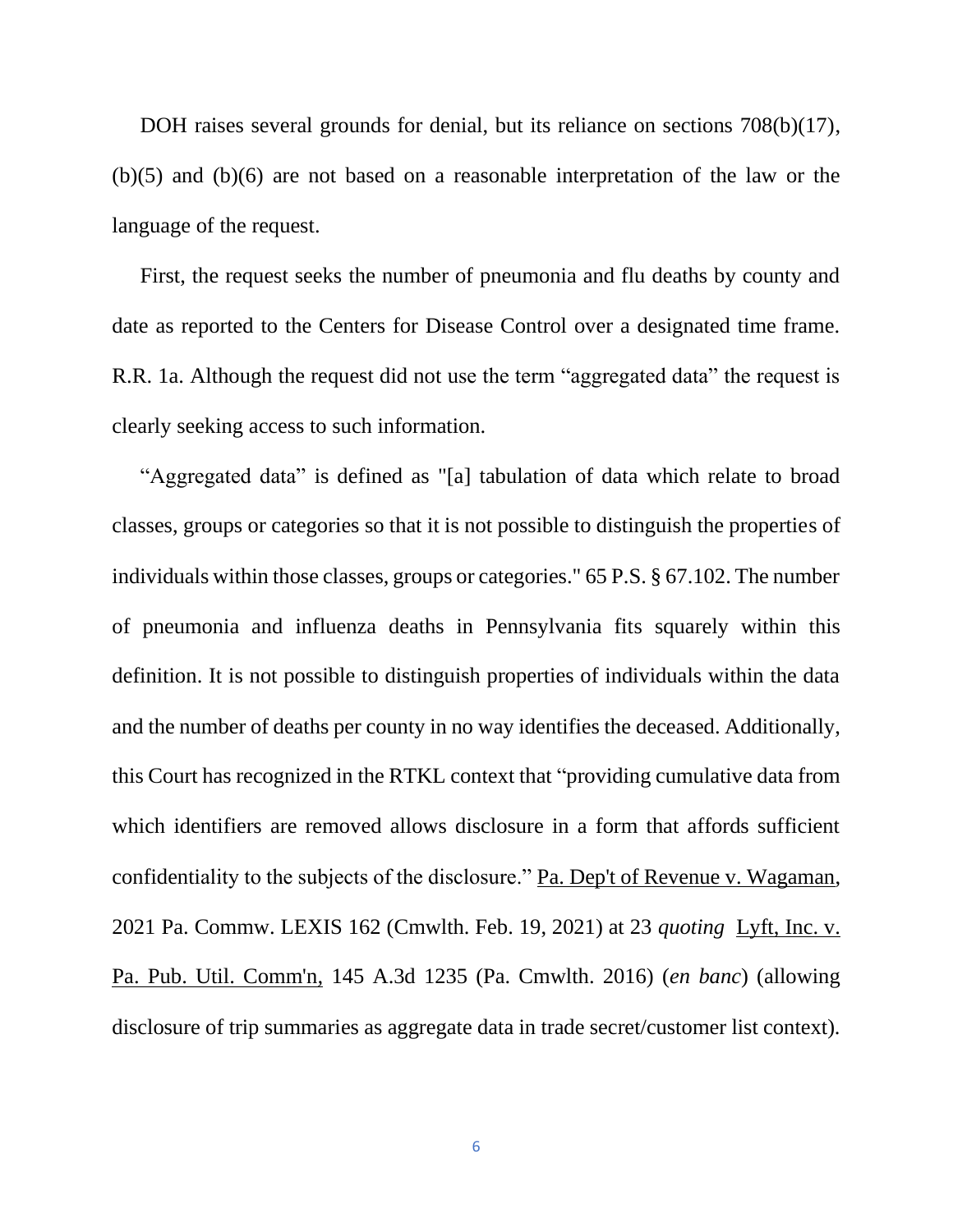DOH raises several grounds for denial, but its reliance on sections 708(b)(17), (b)(5) and (b)(6) are not based on a reasonable interpretation of the law or the language of the request.

First, the request seeks the number of pneumonia and flu deaths by county and date as reported to the Centers for Disease Control over a designated time frame. R.R. 1a. Although the request did not use the term "aggregated data" the request is clearly seeking access to such information.

"Aggregated data" is defined as "[a] tabulation of data which relate to broad classes, groups or categories so that it is not possible to distinguish the properties of individuals within those classes, groups or categories." 65 P.S. § 67.102. The number of pneumonia and influenza deaths in Pennsylvania fits squarely within this definition. It is not possible to distinguish properties of individuals within the data and the number of deaths per county in no way identifies the deceased. Additionally, this Court has recognized in the RTKL context that "providing cumulative data from which identifiers are removed allows disclosure in a form that affords sufficient confidentiality to the subjects of the disclosure." Pa. Dep't of Revenue v. Wagaman, 2021 Pa. Commw. LEXIS 162 (Cmwlth. Feb. 19, 2021) at 23 *quoting* Lyft, Inc. v. Pa. Pub. Util. Comm'n*,* 145 A.3d 1235 (Pa. Cmwlth. 2016) (*en banc*) (allowing disclosure of trip summaries as aggregate data in trade secret/customer list context).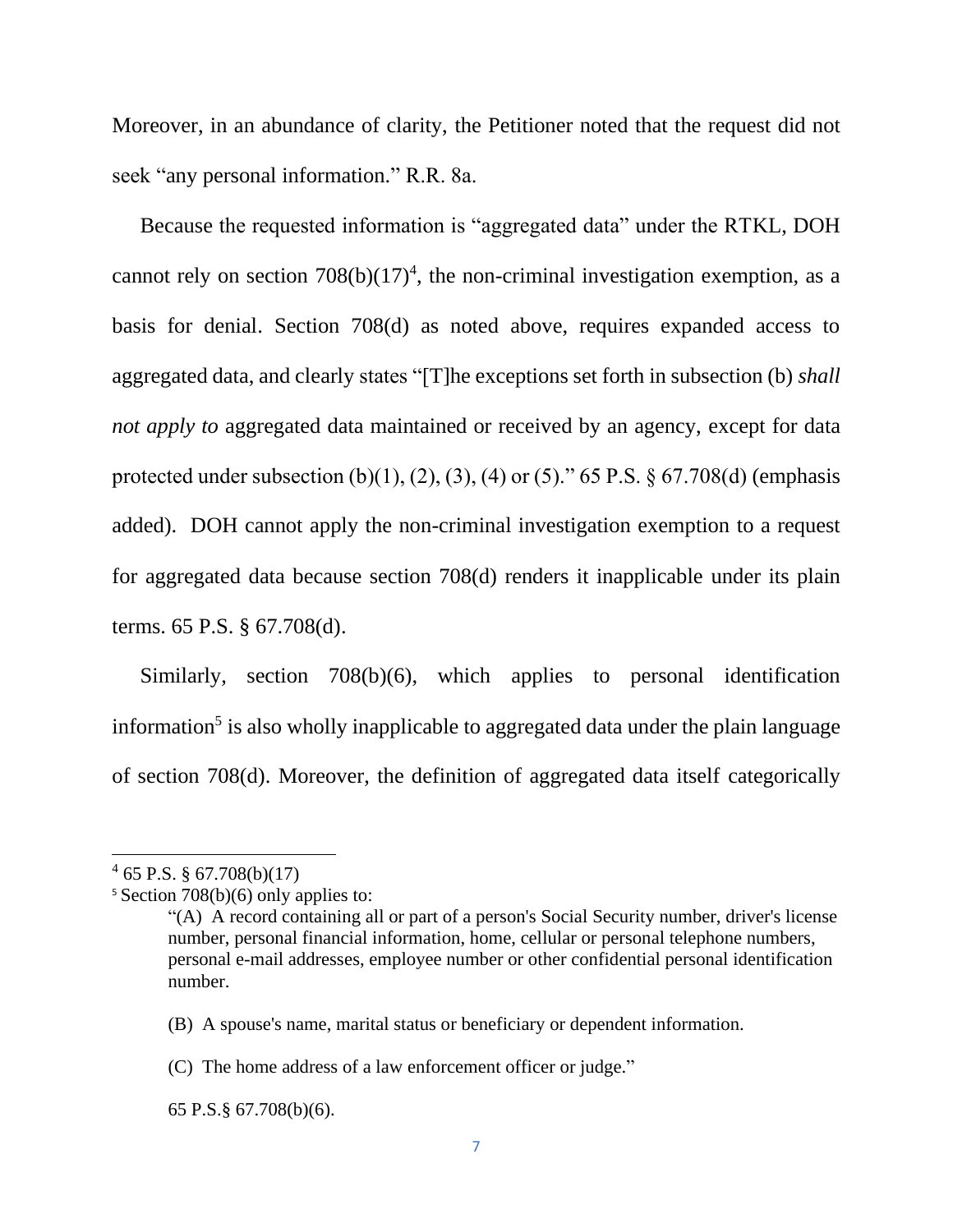Moreover, in an abundance of clarity, the Petitioner noted that the request did not seek "any personal information." R.R. 8a.

Because the requested information is "aggregated data" under the RTKL, DOH cannot rely on section  $708(b)(17)^4$ , the non-criminal investigation exemption, as a basis for denial. Section 708(d) as noted above, requires expanded access to aggregated data, and clearly states "[T]he exceptions set forth in subsection (b) *shall not apply to* aggregated data maintained or received by an agency, except for data protected under subsection (b)(1), (2), (3), (4) or (5)." 65 P.S.  $\S$  67.708(d) (emphasis added). DOH cannot apply the non-criminal investigation exemption to a request for aggregated data because section 708(d) renders it inapplicable under its plain terms. 65 P.S. § 67.708(d).

Similarly, section 708(b)(6), which applies to personal identification information<sup>5</sup> is also wholly inapplicable to aggregated data under the plain language of section 708(d). Moreover, the definition of aggregated data itself categorically

 $465$  P.S. § 67.708(b)(17)

<sup>5</sup> Section 708(b)(6) only applies to:

<sup>&</sup>quot;(A) A record containing all or part of a person's Social Security number, driver's license number, personal financial information, home, cellular or personal telephone numbers, personal e-mail addresses, employee number or other confidential personal identification number.

<sup>(</sup>B) A spouse's name, marital status or beneficiary or dependent information.

<sup>(</sup>C) The home address of a law enforcement officer or judge."

<sup>65</sup> P.S.§ 67.708(b)(6).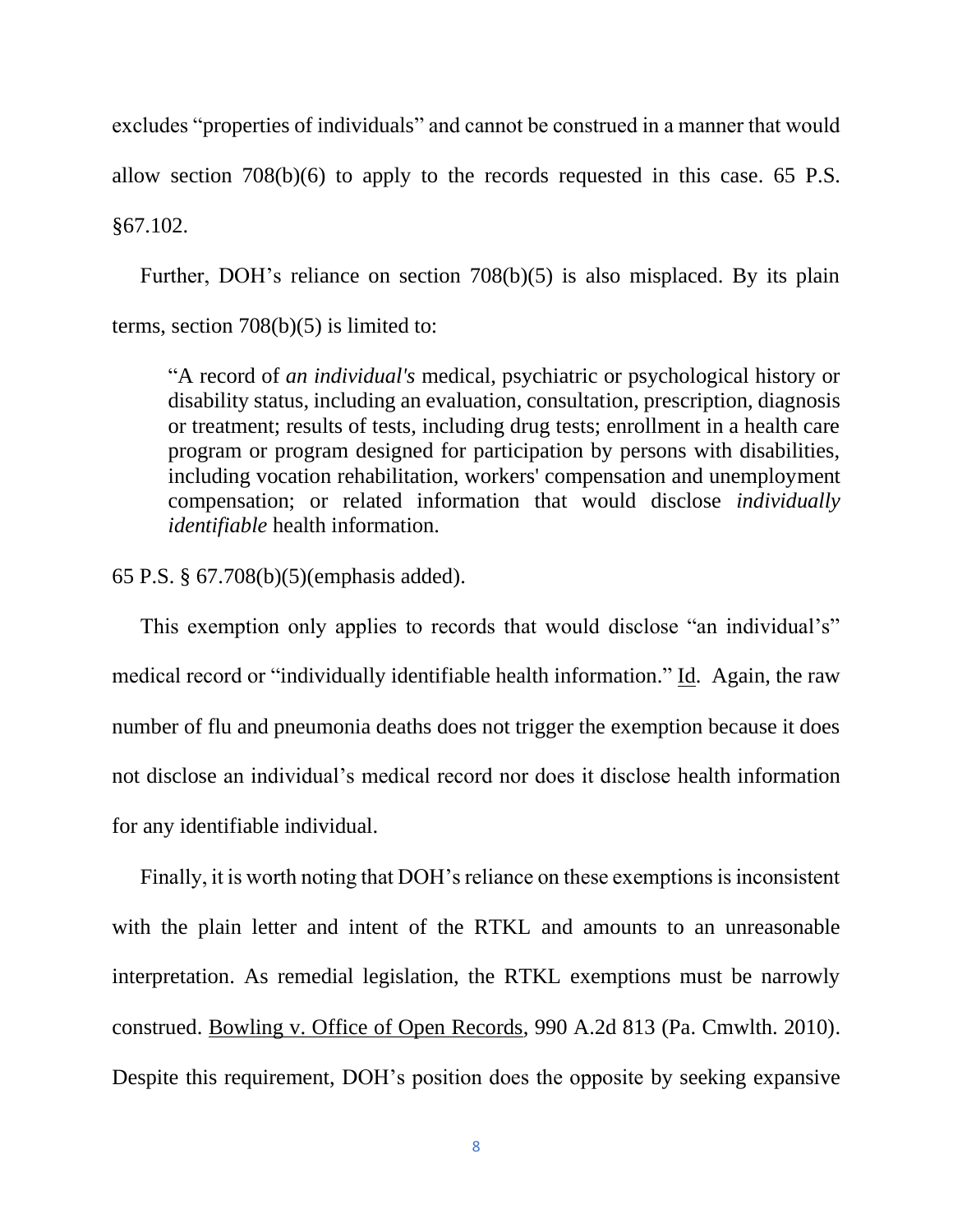excludes "properties of individuals" and cannot be construed in a manner that would allow section 708(b)(6) to apply to the records requested in this case. 65 P.S. §67.102.

Further, DOH's reliance on section 708(b)(5) is also misplaced. By its plain terms, section 708(b)(5) is limited to:

"A record of *an individual's* medical, psychiatric or psychological history or disability status, including an evaluation, consultation, prescription, diagnosis or treatment; results of tests, including drug tests; enrollment in a health care program or program designed for participation by persons with disabilities, including vocation rehabilitation, workers' compensation and unemployment compensation; or related information that would disclose *individually identifiable* health information.

65 P.S. § 67.708(b)(5)(emphasis added).

This exemption only applies to records that would disclose "an individual's" medical record or "individually identifiable health information." Id. Again, the raw number of flu and pneumonia deaths does not trigger the exemption because it does not disclose an individual's medical record nor does it disclose health information for any identifiable individual.

Finally, it is worth noting that DOH's reliance on these exemptions is inconsistent with the plain letter and intent of the RTKL and amounts to an unreasonable interpretation. As remedial legislation, the RTKL exemptions must be narrowly construed. Bowling v. Office of Open Records, 990 A.2d 813 (Pa. Cmwlth. 2010). Despite this requirement, DOH's position does the opposite by seeking expansive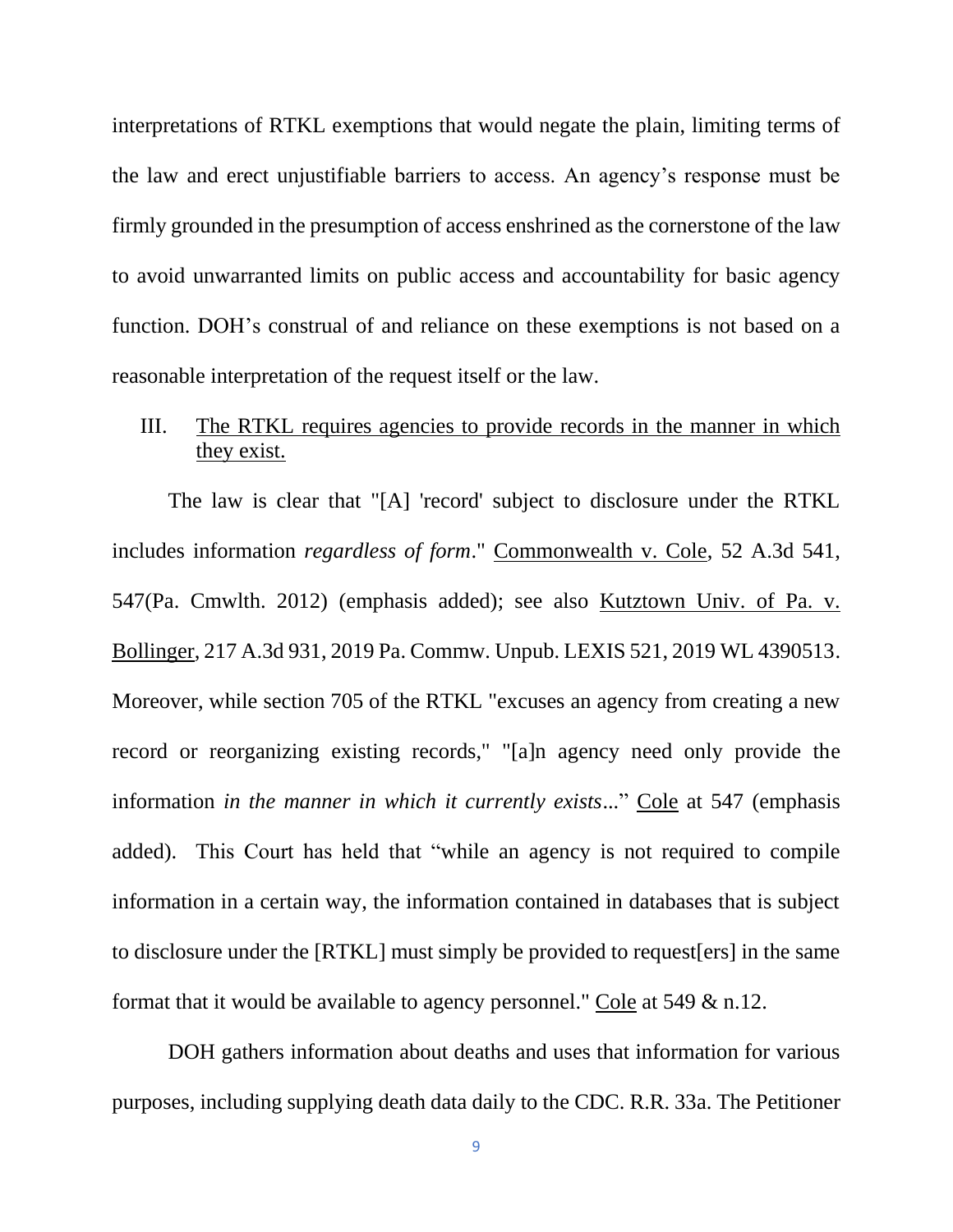interpretations of RTKL exemptions that would negate the plain, limiting terms of the law and erect unjustifiable barriers to access. An agency's response must be firmly grounded in the presumption of access enshrined as the cornerstone of the law to avoid unwarranted limits on public access and accountability for basic agency function. DOH's construal of and reliance on these exemptions is not based on a reasonable interpretation of the request itself or the law.

## III. The RTKL requires agencies to provide records in the manner in which they exist.

The law is clear that "[A] 'record' subject to disclosure under the RTKL includes information *regardless of form*." Commonwealth v. Cole, 52 A.3d 541, 547(Pa. Cmwlth. 2012) (emphasis added); see also Kutztown Univ. of Pa. v. Bollinger, 217 A.3d 931, 2019 Pa. Commw. Unpub. LEXIS 521, 2019 WL 4390513. Moreover, while section 705 of the RTKL "excuses an agency from creating a new record or reorganizing existing records," "[a]n agency need only provide the information *in the manner in which it currently exists*..." Cole at 547 (emphasis added). This Court has held that "while an agency is not required to compile information in a certain way, the information contained in databases that is subject to disclosure under the [RTKL] must simply be provided to request[ers] in the same format that it would be available to agency personnel." Cole at 549 & n.12.

DOH gathers information about deaths and uses that information for various purposes, including supplying death data daily to the CDC. R.R. 33a. The Petitioner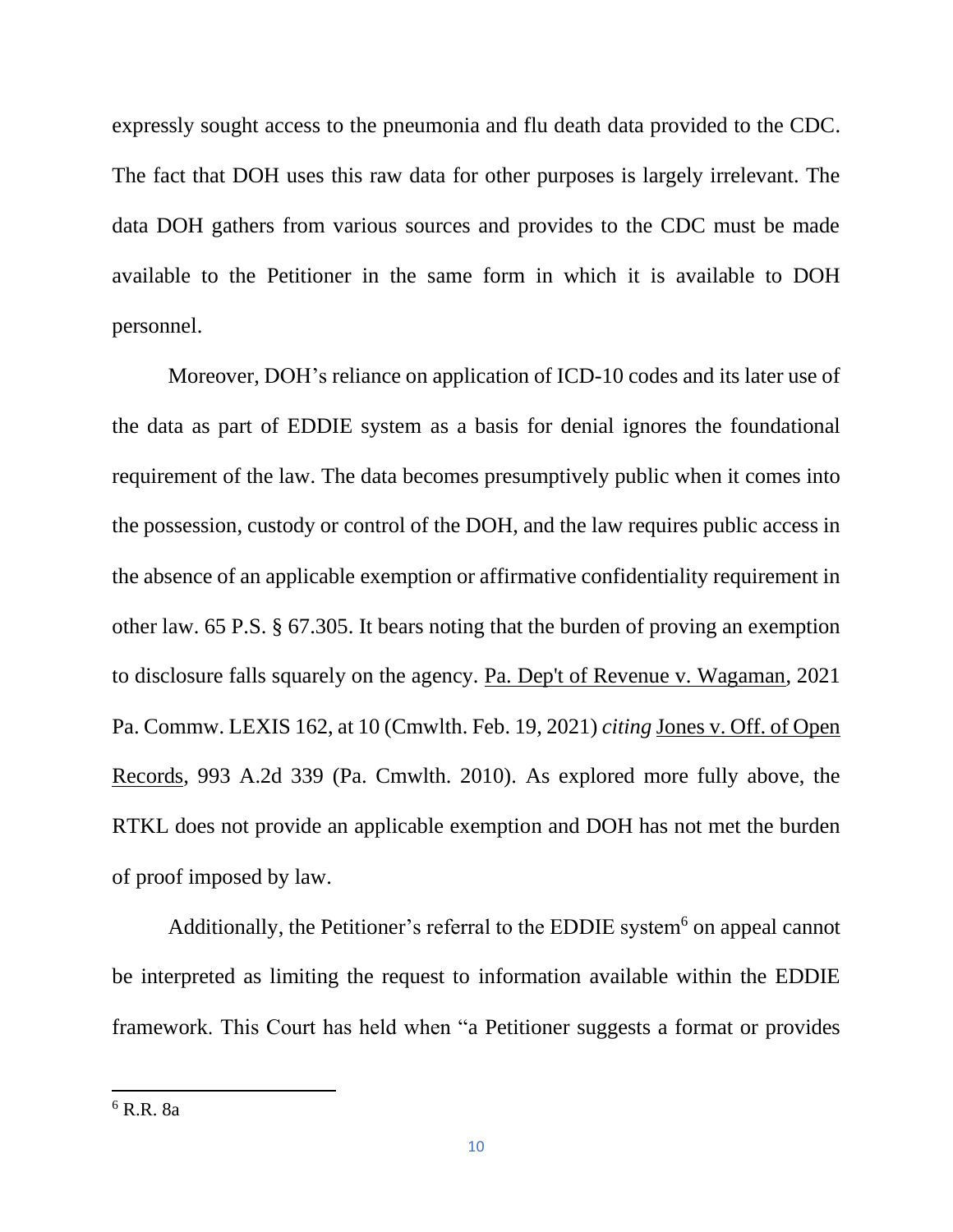expressly sought access to the pneumonia and flu death data provided to the CDC. The fact that DOH uses this raw data for other purposes is largely irrelevant. The data DOH gathers from various sources and provides to the CDC must be made available to the Petitioner in the same form in which it is available to DOH personnel.

Moreover, DOH's reliance on application of ICD-10 codes and its later use of the data as part of EDDIE system as a basis for denial ignores the foundational requirement of the law. The data becomes presumptively public when it comes into the possession, custody or control of the DOH, and the law requires public access in the absence of an applicable exemption or affirmative confidentiality requirement in other law. 65 P.S. § 67.305. It bears noting that the burden of proving an exemption to disclosure falls squarely on the agency. Pa. Dep't of Revenue v. Wagaman, 2021 Pa. Commw. LEXIS 162, at 10 (Cmwlth. Feb. 19, 2021) *citing* Jones v. Off. of Open Records, 993 A.2d 339 (Pa. Cmwlth. 2010). As explored more fully above, the RTKL does not provide an applicable exemption and DOH has not met the burden of proof imposed by law.

Additionally, the Petitioner's referral to the EDDIE system<sup>6</sup> on appeal cannot be interpreted as limiting the request to information available within the EDDIE framework. This Court has held when "a Petitioner suggests a format or provides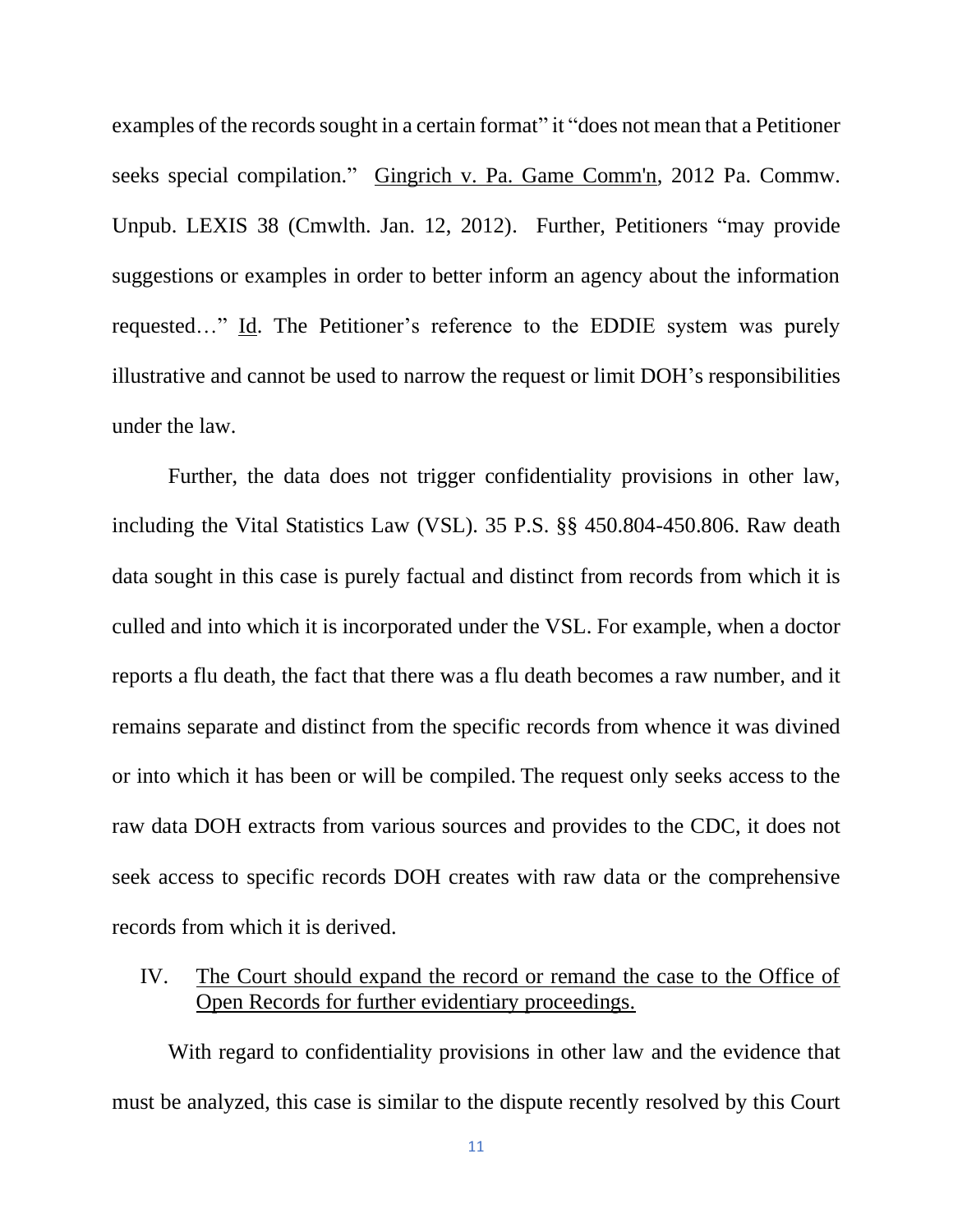examples of the records sought in a certain format" it "does not mean that a Petitioner seeks special compilation." Gingrich v. Pa. Game Comm'n, 2012 Pa. Commw. Unpub. LEXIS 38 (Cmwlth. Jan. 12, 2012). Further, Petitioners "may provide suggestions or examples in order to better inform an agency about the information requested…" Id. The Petitioner's reference to the EDDIE system was purely illustrative and cannot be used to narrow the request or limit DOH's responsibilities under the law.

Further, the data does not trigger confidentiality provisions in other law, including the Vital Statistics Law (VSL). 35 P.S. §§ 450.804-450.806. Raw death data sought in this case is purely factual and distinct from records from which it is culled and into which it is incorporated under the VSL. For example, when a doctor reports a flu death, the fact that there was a flu death becomes a raw number, and it remains separate and distinct from the specific records from whence it was divined or into which it has been or will be compiled. The request only seeks access to the raw data DOH extracts from various sources and provides to the CDC, it does not seek access to specific records DOH creates with raw data or the comprehensive records from which it is derived.

IV. The Court should expand the record or remand the case to the Office of Open Records for further evidentiary proceedings.

With regard to confidentiality provisions in other law and the evidence that must be analyzed, this case is similar to the dispute recently resolved by this Court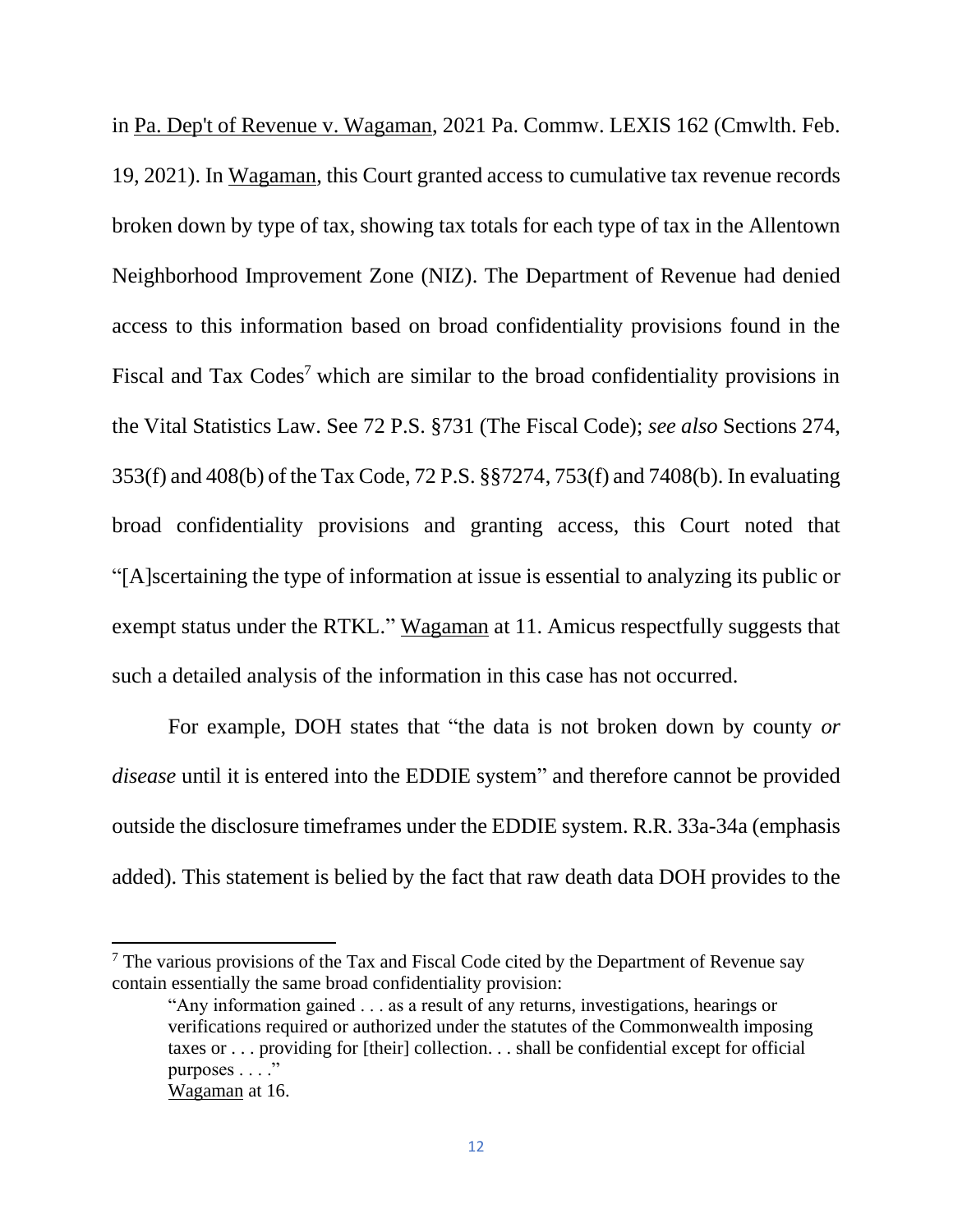in Pa. Dep't of Revenue v. Wagaman, 2021 Pa. Commw. LEXIS 162 (Cmwlth. Feb. 19, 2021). In Wagaman, this Court granted access to cumulative tax revenue records broken down by type of tax, showing tax totals for each type of tax in the Allentown Neighborhood Improvement Zone (NIZ). The Department of Revenue had denied access to this information based on broad confidentiality provisions found in the Fiscal and Tax Codes<sup>7</sup> which are similar to the broad confidentiality provisions in the Vital Statistics Law. See 72 P.S. §731 (The Fiscal Code); *see also* Sections 274, 353(f) and 408(b) of the Tax Code, 72 P.S. §§7274, 753(f) and 7408(b). In evaluating broad confidentiality provisions and granting access, this Court noted that "[A]scertaining the type of information at issue is essential to analyzing its public or exempt status under the RTKL." Wagaman at 11. Amicus respectfully suggests that such a detailed analysis of the information in this case has not occurred.

For example, DOH states that "the data is not broken down by county *or disease* until it is entered into the EDDIE system" and therefore cannot be provided outside the disclosure timeframes under the EDDIE system. R.R. 33a-34a (emphasis added). This statement is belied by the fact that raw death data DOH provides to the

 $<sup>7</sup>$  The various provisions of the Tax and Fiscal Code cited by the Department of Revenue say</sup> contain essentially the same broad confidentiality provision:

<sup>&</sup>quot;Any information gained . . . as a result of any returns, investigations, hearings or verifications required or authorized under the statutes of the Commonwealth imposing taxes or . . . providing for [their] collection. . . shall be confidential except for official purposes . . . ."

Wagaman at 16.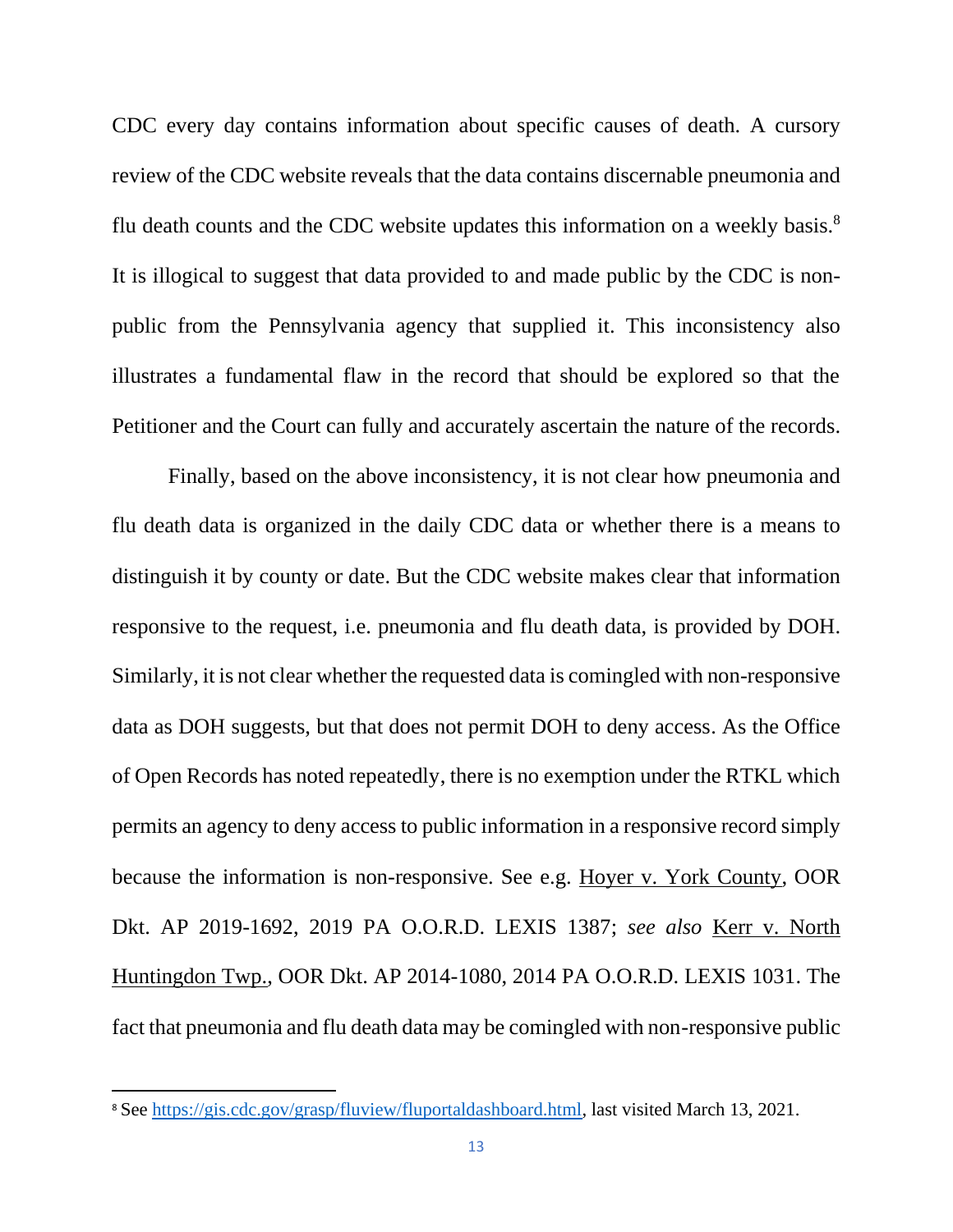CDC every day contains information about specific causes of death. A cursory review of the CDC website reveals that the data contains discernable pneumonia and flu death counts and the CDC website updates this information on a weekly basis.<sup>8</sup> It is illogical to suggest that data provided to and made public by the CDC is nonpublic from the Pennsylvania agency that supplied it. This inconsistency also illustrates a fundamental flaw in the record that should be explored so that the Petitioner and the Court can fully and accurately ascertain the nature of the records.

Finally, based on the above inconsistency, it is not clear how pneumonia and flu death data is organized in the daily CDC data or whether there is a means to distinguish it by county or date. But the CDC website makes clear that information responsive to the request, i.e. pneumonia and flu death data, is provided by DOH. Similarly, it is not clear whether the requested data is comingled with non-responsive data as DOH suggests, but that does not permit DOH to deny access. As the Office of Open Records has noted repeatedly, there is no exemption under the RTKL which permits an agency to deny access to public information in a responsive record simply because the information is non-responsive. See e.g. Hoyer v. York County, OOR Dkt. AP 2019-1692, 2019 PA O.O.R.D. LEXIS 1387; *see also* Kerr v. North Huntingdon Twp., OOR Dkt. AP 2014-1080, 2014 PA O.O.R.D. LEXIS 1031. The fact that pneumonia and flu death data may be comingled with non-responsive public

<sup>&</sup>lt;sup>8</sup> See [https://gis.cdc.gov/grasp/fluview/fluportaldashboard.html,](https://gis.cdc.gov/grasp/fluview/fluportaldashboard.html) last visited March 13, 2021.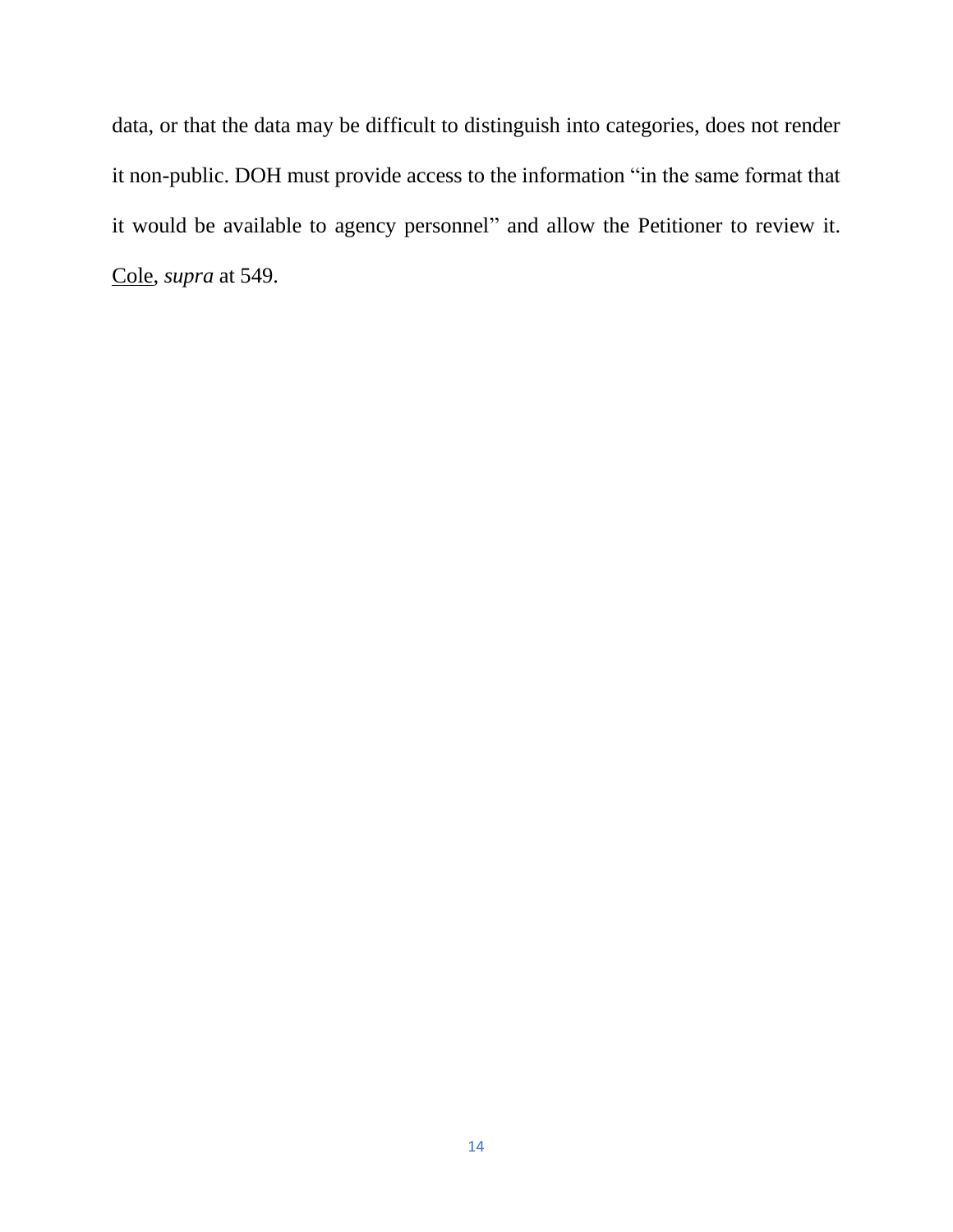data, or that the data may be difficult to distinguish into categories, does not render it non-public. DOH must provide access to the information "in the same format that it would be available to agency personnel" and allow the Petitioner to review it. Cole, *supra* at 549.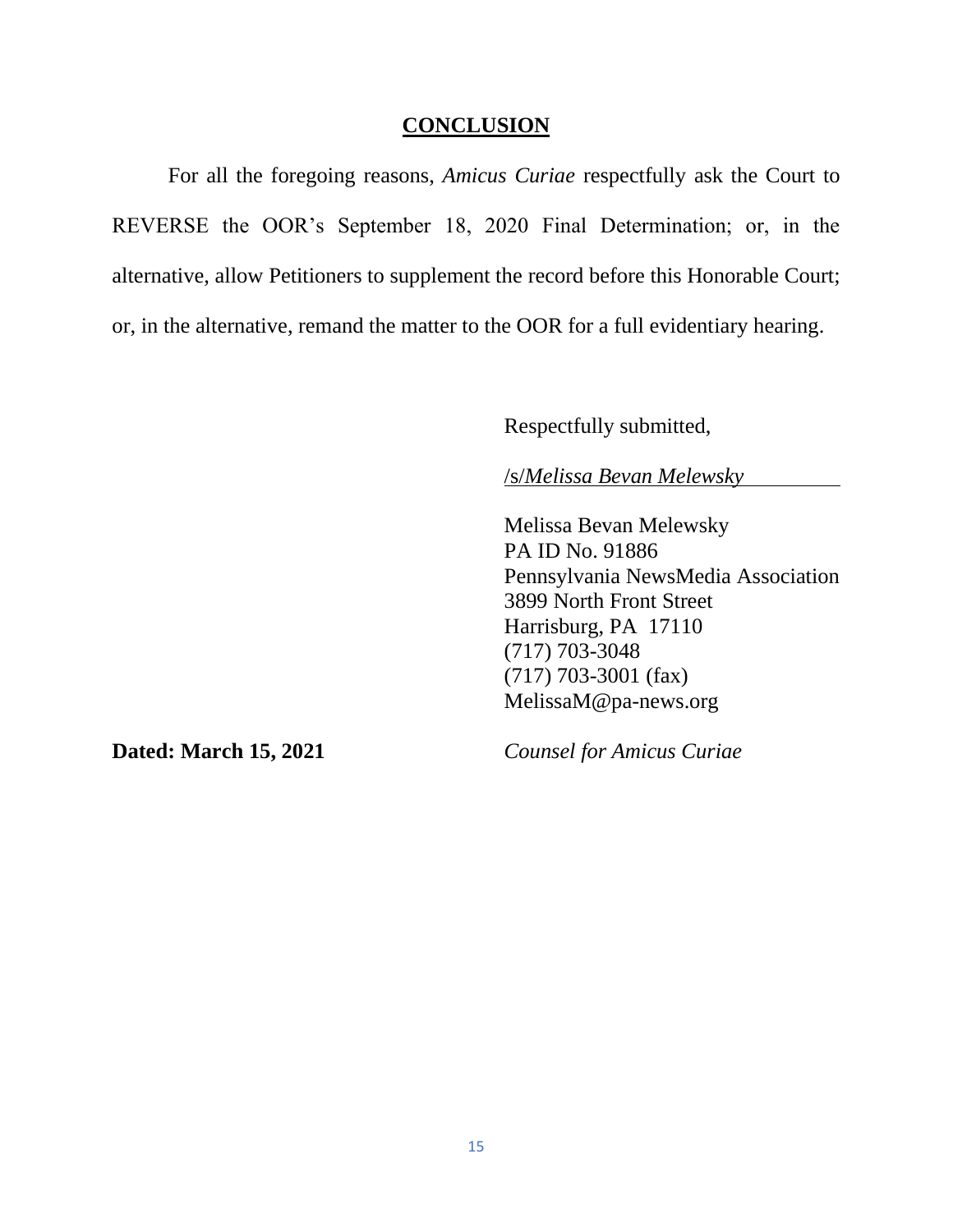#### **CONCLUSION**

For all the foregoing reasons, *Amicus Curiae* respectfully ask the Court to REVERSE the OOR's September 18, 2020 Final Determination; or, in the alternative, allow Petitioners to supplement the record before this Honorable Court; or, in the alternative, remand the matter to the OOR for a full evidentiary hearing.

Respectfully submitted,

/s/*Melissa Bevan Melewsky*

Melissa Bevan Melewsky PA ID No. 91886 Pennsylvania NewsMedia Association 3899 North Front Street Harrisburg, PA 17110 (717) 703-3048 (717) 703-3001 (fax) MelissaM@pa-news.org

**Dated: March 15, 2021** *Counsel for Amicus Curiae*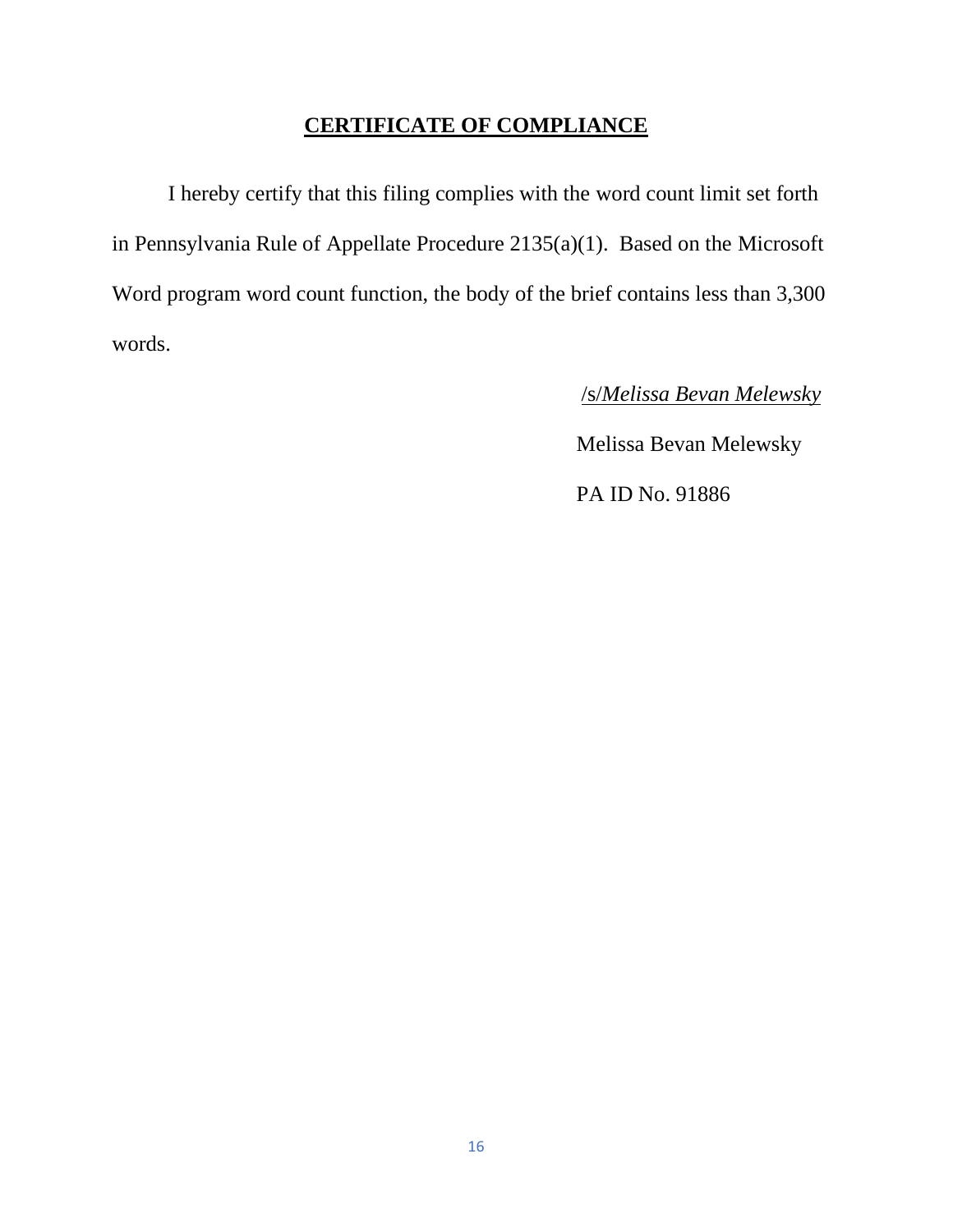## **CERTIFICATE OF COMPLIANCE**

I hereby certify that this filing complies with the word count limit set forth in Pennsylvania Rule of Appellate Procedure 2135(a)(1). Based on the Microsoft Word program word count function, the body of the brief contains less than 3,300 words.

/s/*Melissa Bevan Melewsky*

**Melissa Bevan Melewsky** 

PA ID No. 91886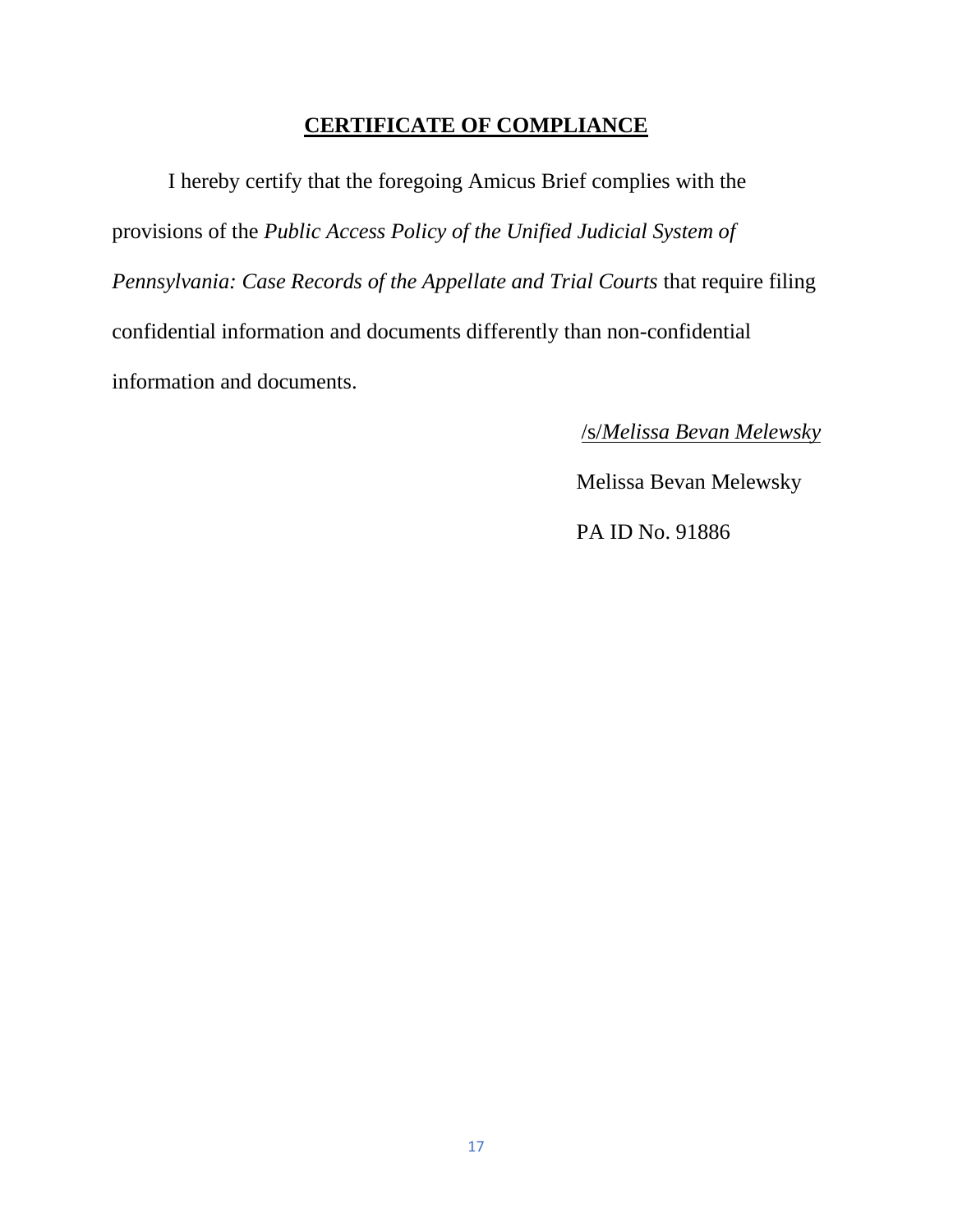## **CERTIFICATE OF COMPLIANCE**

I hereby certify that the foregoing Amicus Brief complies with the provisions of the *Public Access Policy of the Unified Judicial System of Pennsylvania: Case Records of the Appellate and Trial Courts* that require filing confidential information and documents differently than non-confidential information and documents.

/s/*Melissa Bevan Melewsky*

**Melissa Bevan Melewsky** 

PA ID No. 91886